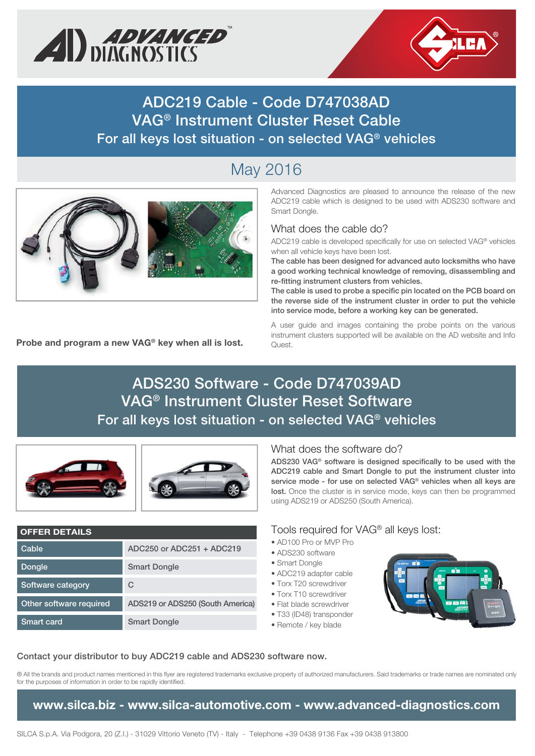



**ADC219 Cable - Code D747038AD VAG® Instrument Cluster Reset Cable For all keys lost situation - on selected VAG® vehicles**

# May 2016



**Probe and program a new VAG® key when all is lost.**

#### Advanced Diagnostics are pleased to announce the release of the new ADC219 cable which is designed to be used with ADS230 software and Smart Dongle.

## What does the cable do?

ADC219 cable is developed specifically for use on selected VAG® vehicles when all vehicle keys have been lost.

**The cable has been designed for advanced auto locksmiths who have a good working technical knowledge of removing, disassembling and re-fitting instrument clusters from vehicles.**

**The cable is used to probe a specific pin located on the PCB board on the reverse side of the instrument cluster in order to put the vehicle into service mode, before a working key can be generated.**

A user guide and images containing the probe points on the various instrument clusters supported will be available on the AD website and Info Quest.

# **ADS230 Software - Code D747039AD VAG® Instrument Cluster Reset Software For all keys lost situation - on selected VAG® vehicles**



#### **OFFER DETAILS**

| Cable                   | ADC250 or ADC251 + ADC219        |
|-------------------------|----------------------------------|
| <b>Dongle</b>           | <b>Smart Dongle</b>              |
| Software category       | C                                |
| Other software required | ADS219 or ADS250 (South America) |
| Smart card              | <b>Smart Dongle</b>              |

### What does the software do?

**ADS230 VAG® software is designed specifically to be used with the ADC219 cable and Smart Dongle to put the instrument cluster into service mode - for use on selected VAG® vehicles when all keys are**  lost. Once the cluster is in service mode, keys can then be programmed using ADS219 or ADS250 (South America).

### Tools required for VAG® all keys lost:

- AD100 Pro or MVP Pro
- ADS230 software
- Smart Dongle
- ADC219 adapter cable
- Torx T20 screwdriver
- Torx T10 screwdriver
- Flat blade screwdriver
- T33 (ID48) transponder
- Remote / key blade



#### **Contact your distributor to buy ADC219 cable and ADS230 software now.**

® All the brands and product names mentioned in this flyer are registered trademarks exclusive property of authorized manufacturers. Said trademarks or trade names are nominated only for the purposes of information in order to be rapidly identified.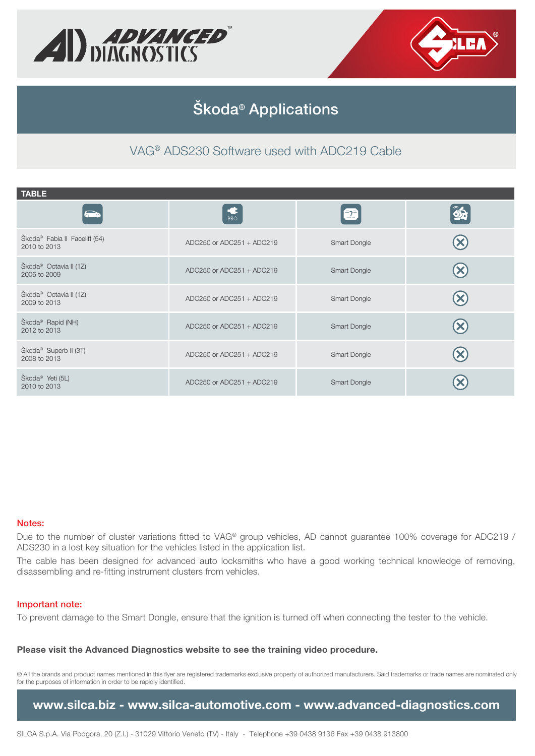



## **Škoda® Applications**

VAG® ADS230 Software used with ADC219 Cable

| <b>TABLE</b>                                              |                           |                     |  |
|-----------------------------------------------------------|---------------------------|---------------------|--|
| $\widehat{\phantom{0}}$                                   | PRO                       | $\bullet$           |  |
| Škoda <sup>®</sup> Fabia II Facelift (54)<br>2010 to 2013 | ADC250 or ADC251 + ADC219 | Smart Dongle        |  |
| Škoda <sup>®</sup> Octavia II (1Z)<br>2006 to 2009        | ADC250 or ADC251 + ADC219 | Smart Dongle        |  |
| Škoda <sup>®</sup> Octavia II (1Z)<br>2009 to 2013        | ADC250 or ADC251 + ADC219 | Smart Dongle        |  |
| Škoda <sup>®</sup> Rapid (NH)<br>2012 to 2013             | ADC250 or ADC251 + ADC219 | <b>Smart Dongle</b> |  |
| Škoda <sup>®</sup> Superb II (3T)<br>2008 to 2013         | ADC250 or ADC251 + ADC219 | Smart Dongle        |  |
| Škoda <sup>®</sup> Yeti (5L)<br>2010 to 2013              | ADC250 or ADC251 + ADC219 | Smart Dongle        |  |

#### **Notes:**

Due to the number of cluster variations fitted to VAG® group vehicles, AD cannot guarantee 100% coverage for ADC219 / ADS230 in a lost key situation for the vehicles listed in the application list.

The cable has been designed for advanced auto locksmiths who have a good working technical knowledge of removing, disassembling and re-fitting instrument clusters from vehicles.

#### **Important note:**

To prevent damage to the Smart Dongle, ensure that the ignition is turned off when connecting the tester to the vehicle.

#### **Please visit the Advanced Diagnostics website to see the training video procedure.**

® All the brands and product names mentioned in this flyer are registered trademarks exclusive property of authorized manufacturers. Said trademarks or trade names are nominated only for the purposes of information in order to be rapidly identified.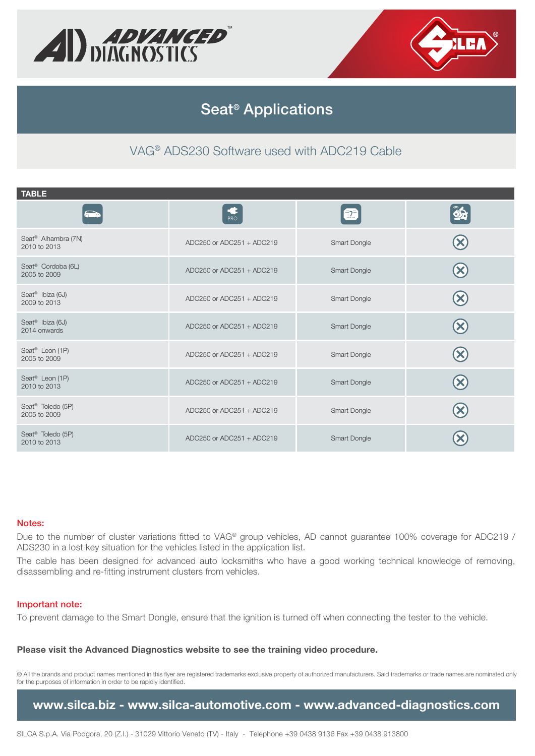



## **Seat® Applications**

VAG® ADS230 Software used with ADC219 Cable

| <b>TABLE</b>                                    |                           |              |    |
|-------------------------------------------------|---------------------------|--------------|----|
| $\sum$                                          | PRO                       | $\bullet$    | 85 |
| Seat <sup>®</sup> Alhambra (7N)<br>2010 to 2013 | ADC250 or ADC251 + ADC219 | Smart Dongle |    |
| Seat <sup>®</sup> Cordoba (6L)<br>2005 to 2009  | ADC250 or ADC251 + ADC219 | Smart Dongle |    |
| Seat <sup>®</sup> Ibiza (6J)<br>2009 to 2013    | ADC250 or ADC251 + ADC219 | Smart Dongle |    |
| Seat <sup>®</sup> Ibiza (6J)<br>2014 onwards    | ADC250 or ADC251 + ADC219 | Smart Dongle |    |
| Seat <sup>®</sup> Leon (1P)<br>2005 to 2009     | ADC250 or ADC251 + ADC219 | Smart Dongle |    |
| Seat <sup>®</sup> Leon (1P)<br>2010 to 2013     | ADC250 or ADC251 + ADC219 | Smart Dongle |    |
| Seat <sup>®</sup> Toledo (5P)<br>2005 to 2009   | ADC250 or ADC251 + ADC219 | Smart Dongle |    |
| Seat <sup>®</sup> Toledo (5P)<br>2010 to 2013   | ADC250 or ADC251 + ADC219 | Smart Dongle |    |

#### **Notes:**

Due to the number of cluster variations fitted to VAG® group vehicles, AD cannot guarantee 100% coverage for ADC219 / ADS230 in a lost key situation for the vehicles listed in the application list.

The cable has been designed for advanced auto locksmiths who have a good working technical knowledge of removing, disassembling and re-fitting instrument clusters from vehicles.

#### **Important note:**

To prevent damage to the Smart Dongle, ensure that the ignition is turned off when connecting the tester to the vehicle.

#### **Please visit the Advanced Diagnostics website to see the training video procedure.**

® All the brands and product names mentioned in this flyer are registered trademarks exclusive property of authorized manufacturers. Said trademarks or trade names are nominated only for the purposes of information in order to be rapidly identified.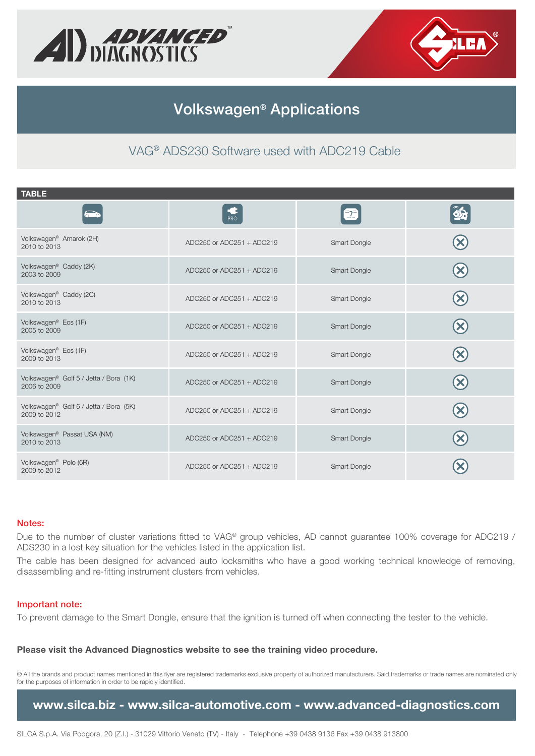



## **Volkswagen® Applications**

VAG® ADS230 Software used with ADC219 Cable

| <b>TABLE</b>                                                       |                           |              |  |
|--------------------------------------------------------------------|---------------------------|--------------|--|
|                                                                    | <b>PRO</b>                | 2            |  |
| Volkswagen <sup>®</sup> Amarok (2H)<br>2010 to 2013                | ADC250 or ADC251 + ADC219 | Smart Dongle |  |
| Volkswagen <sup>®</sup> Caddy (2K)<br>2003 to 2009                 | ADC250 or ADC251 + ADC219 | Smart Dongle |  |
| Volkswagen® Caddy (2C)<br>2010 to 2013                             | ADC250 or ADC251 + ADC219 | Smart Dongle |  |
| Volkswagen <sup>®</sup> Eos (1F)<br>2005 to 2009                   | ADC250 or ADC251 + ADC219 | Smart Dongle |  |
| Volkswagen <sup>®</sup> Eos (1F)<br>2009 to 2013                   | ADC250 or ADC251 + ADC219 | Smart Dongle |  |
| Volkswagen <sup>®</sup> Golf 5 / Jetta / Bora (1K)<br>2006 to 2009 | ADC250 or ADC251 + ADC219 | Smart Dongle |  |
| Volkswagen® Golf 6 / Jetta / Bora (5K)<br>2009 to 2012             | ADC250 or ADC251 + ADC219 | Smart Dongle |  |
| Volkswagen <sup>®</sup> Passat USA (NM)<br>2010 to 2013            | ADC250 or ADC251 + ADC219 | Smart Dongle |  |
| Volkswagen <sup>®</sup> Polo (6R)<br>2009 to 2012                  | ADC250 or ADC251 + ADC219 | Smart Dongle |  |

#### **Notes:**

Due to the number of cluster variations fitted to VAG® group vehicles, AD cannot guarantee 100% coverage for ADC219 / ADS230 in a lost key situation for the vehicles listed in the application list.

The cable has been designed for advanced auto locksmiths who have a good working technical knowledge of removing, disassembling and re-fitting instrument clusters from vehicles.

#### **Important note:**

To prevent damage to the Smart Dongle, ensure that the ignition is turned off when connecting the tester to the vehicle.

#### **Please visit the Advanced Diagnostics website to see the training video procedure.**

® All the brands and product names mentioned in this flyer are registered trademarks exclusive property of authorized manufacturers. Said trademarks or trade names are nominated only for the purposes of information in order to be rapidly identified.